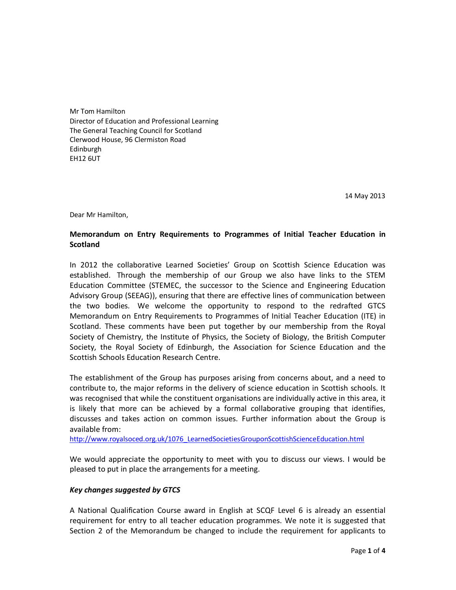Mr Tom Hamilton Director of Education and Professional Learning The General Teaching Council for Scotland Clerwood House, 96 Clermiston Road Edinburgh EH12 6UT

14 May 2013

Dear Mr Hamilton,

# **Memorandum on Entry Requirements to Programmes of Initial Teacher Education in Scotland**

In 2012 the collaborative Learned Societies' Group on Scottish Science Education was established. Through the membership of our Group we also have links to the STEM Education Committee (STEMEC, the successor to the Science and Engineering Education Advisory Group (SEEAG)), ensuring that there are effective lines of communication between the two bodies. We welcome the opportunity to respond to the redrafted GTCS Memorandum on Entry Requirements to Programmes of Initial Teacher Education (ITE) in Scotland. These comments have been put together by our membership from the Royal Society of Chemistry, the Institute of Physics, the Society of Biology, the British Computer Society, the Royal Society of Edinburgh, the Association for Science Education and the Scottish Schools Education Research Centre.

The establishment of the Group has purposes arising from concerns about, and a need to contribute to, the major reforms in the delivery of science education in Scottish schools. It was recognised that while the constituent organisations are individually active in this area, it is likely that more can be achieved by a formal collaborative grouping that identifies, discusses and takes action on common issues. Further information about the Group is available from:

http://www.royalsoced.org.uk/1076\_LearnedSocietiesGrouponScottishScienceEducation.html

We would appreciate the opportunity to meet with you to discuss our views. I would be pleased to put in place the arrangements for a meeting.

## *Key changes suggested by GTCS*

A National Qualification Course award in English at SCQF Level 6 is already an essential requirement for entry to all teacher education programmes. We note it is suggested that Section 2 of the Memorandum be changed to include the requirement for applicants to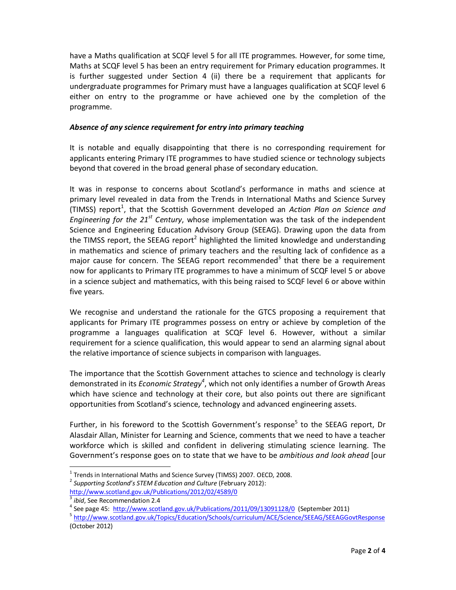have a Maths qualification at SCQF level 5 for all ITE programmes. However, for some time, Maths at SCQF level 5 has been an entry requirement for Primary education programmes. It is further suggested under Section 4 (ii) there be a requirement that applicants for undergraduate programmes for Primary must have a languages qualification at SCQF level 6 either on entry to the programme or have achieved one by the completion of the programme.

## *Absence of any science requirement for entry into primary teaching*

It is notable and equally disappointing that there is no corresponding requirement for applicants entering Primary ITE programmes to have studied science or technology subjects beyond that covered in the broad general phase of secondary education.

It was in response to concerns about Scotland's performance in maths and science at primary level revealed in data from the Trends in International Maths and Science Survey (TIMSS) report<sup>1</sup>, that the Scottish Government developed an Action Plan on Science and *Engineering for the 21st Century*, whose implementation was the task of the independent Science and Engineering Education Advisory Group (SEEAG). Drawing upon the data from the TIMSS report, the SEEAG report<sup>2</sup> highlighted the limited knowledge and understanding in mathematics and science of primary teachers and the resulting lack of confidence as a major cause for concern. The SEEAG report recommended<sup>3</sup> that there be a requirement now for applicants to Primary ITE programmes to have a minimum of SCQF level 5 or above in a science subject and mathematics, with this being raised to SCQF level 6 or above within five years.

We recognise and understand the rationale for the GTCS proposing a requirement that applicants for Primary ITE programme*s* possess on entry or achieve by completion of the programme a languages qualification at SCQF level 6. However, without a similar requirement for a science qualification, this would appear to send an alarming signal about the relative importance of science subjects in comparison with languages.

The importance that the Scottish Government attaches to science and technology is clearly demonstrated in its *Economic Strategy<sup>4</sup>* , which not only identifies a number of Growth Areas which have science and technology at their core, but also points out there are significant opportunities from Scotland's science, technology and advanced engineering assets.

Further, in his foreword to the Scottish Government's response<sup>5</sup> to the SEEAG report, Dr Alasdair Allan, Minister for Learning and Science, comments that we need to have a teacher workforce which is skilled and confident in delivering stimulating science learning. The Government's response goes on to state that we have to be *ambitious and look ahead* [our

1

<sup>&</sup>lt;sup>1</sup> Trends in International Maths and Science Survey (TIMSS) 2007. OECD, 2008.

<sup>2</sup> *Supporting Scotland's STEM Education and Culture* (February 2012):

http://www.scotland.gov.uk/Publications/2012/02/4589/0

<sup>3</sup> *ibid*, See Recommendation 2.4

<sup>&</sup>lt;sup>4</sup> See page 45: http://www.scotland.gov.uk/Publications/2011/09/13091128/0 (September 2011)

<sup>5</sup> http://www.scotland.gov.uk/Topics/Education/Schools/curriculum/ACE/Science/SEEAG/SEEAGGovtResponse (October 2012)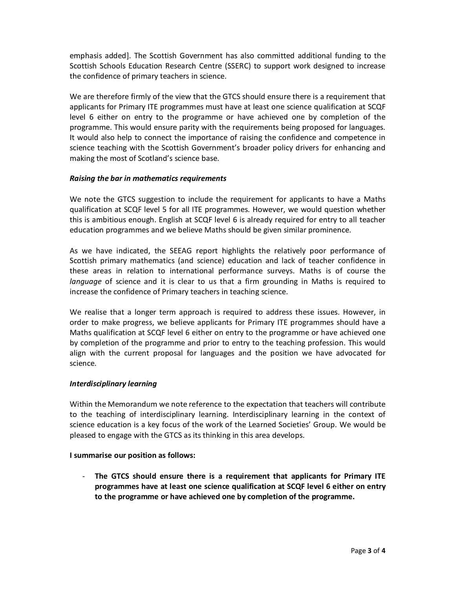emphasis added]. The Scottish Government has also committed additional funding to the Scottish Schools Education Research Centre (SSERC) to support work designed to increase the confidence of primary teachers in science.

We are therefore firmly of the view that the GTCS should ensure there is a requirement that applicants for Primary ITE programmes must have at least one science qualification at SCQF level 6 either on entry to the programme or have achieved one by completion of the programme. This would ensure parity with the requirements being proposed for languages. It would also help to connect the importance of raising the confidence and competence in science teaching with the Scottish Government's broader policy drivers for enhancing and making the most of Scotland's science base.

## *Raising the bar in mathematics requirements*

We note the GTCS suggestion to include the requirement for applicants to have a Maths qualification at SCQF level 5 for all ITE programmes. However, we would question whether this is ambitious enough. English at SCQF level 6 is already required for entry to all teacher education programmes and we believe Maths should be given similar prominence.

As we have indicated, the SEEAG report highlights the relatively poor performance of Scottish primary mathematics (and science) education and lack of teacher confidence in these areas in relation to international performance surveys. Maths is of course the *language* of science and it is clear to us that a firm grounding in Maths is required to increase the confidence of Primary teachers in teaching science.

We realise that a longer term approach is required to address these issues. However, in order to make progress, we believe applicants for Primary ITE programmes should have a Maths qualification at SCQF level 6 either on entry to the programme or have achieved one by completion of the programme and prior to entry to the teaching profession. This would align with the current proposal for languages and the position we have advocated for science.

## *Interdisciplinary learning*

Within the Memorandum we note reference to the expectation that teachers will contribute to the teaching of interdisciplinary learning. Interdisciplinary learning in the context of science education is a key focus of the work of the Learned Societies' Group. We would be pleased to engage with the GTCS as its thinking in this area develops.

## **I summarise our position as follows:**

- **The GTCS should ensure there is a requirement that applicants for Primary ITE programmes have at least one science qualification at SCQF level 6 either on entry to the programme or have achieved one by completion of the programme.**